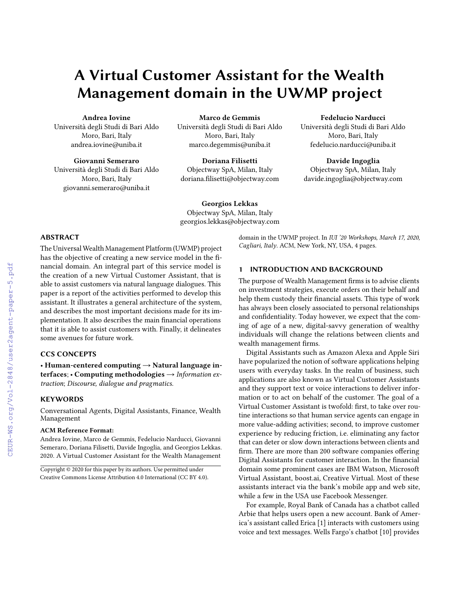# A Virtual Customer Assistant for the Wealth Management domain in the UWMP project

Andrea Iovine Università degli Studi di Bari Aldo Moro, Bari, Italy andrea.iovine@uniba.it

Giovanni Semeraro Università degli Studi di Bari Aldo Moro, Bari, Italy giovanni.semeraro@uniba.it

Marco de Gemmis Università degli Studi di Bari Aldo Moro, Bari, Italy marco.degemmis@uniba.it

Doriana Filisetti Objectway SpA, Milan, Italy doriana.filisetti@objectway.com

Fedelucio Narducci Università degli Studi di Bari Aldo Moro, Bari, Italy fedelucio.narducci@uniba.it

Davide Ingoglia Objectway SpA, Milan, Italy davide.ingoglia@objectway.com

Georgios Lekkas Objectway SpA, Milan, Italy georgios.lekkas@objectway.com

#### ABSTRACT

The Universal Wealth Management Platform (UWMP) project has the objective of creating a new service model in the financial domain. An integral part of this service model is the creation of a new Virtual Customer Assistant, that is able to assist customers via natural language dialogues. This paper is a report of the activities performed to develop this assistant. It illustrates a general architecture of the system, and describes the most important decisions made for its implementation. It also describes the main financial operations that it is able to assist customers with. Finally, it delineates some avenues for future work.

## CCS CONCEPTS

• Human-centered computing  $\rightarrow$  Natural language interfaces; • Computing methodologies  $\rightarrow$  Information extraction; Discourse, dialogue and pragmatics.

#### **KEYWORDS**

Conversational Agents, Digital Assistants, Finance, Wealth Management

#### ACM Reference Format:

Andrea Iovine, Marco de Gemmis, Fedelucio Narducci, Giovanni Semeraro, Doriana Filisetti, Davide Ingoglia, and Georgios Lekkas. 2020. A Virtual Customer Assistant for the Wealth Management

domain in the UWMP project. In IUI '20 Workshops, March 17, 2020, Cagliari, Italy. ACM, New York, NY, USA, [4](#page--1-0) pages.

## 1 INTRODUCTION AND BACKGROUND

The purpose of Wealth Management firms is to advise clients on investment strategies, execute orders on their behalf and help them custody their financial assets. This type of work has always been closely associated to personal relationships and confidentiality. Today however, we expect that the coming of age of a new, digital-savvy generation of wealthy individuals will change the relations between clients and wealth management firms.

Digital Assistants such as Amazon Alexa and Apple Siri have popularized the notion of software applications helping users with everyday tasks. In the realm of business, such applications are also known as Virtual Customer Assistants and they support text or voice interactions to deliver information or to act on behalf of the customer. The goal of a Virtual Customer Assistant is twofold: first, to take over routine interactions so that human service agents can engage in more value-adding activities; second, to improve customer experience by reducing friction, i.e. eliminating any factor that can deter or slow down interactions between clients and firm. There are more than 200 software companies offering Digital Assistants for customer interaction. In the financial domain some prominent cases are IBM Watson, Microsoft Virtual Assistant, boost.ai, Creative Virtual. Most of these assistants interact via the bank's mobile app and web site, while a few in the USA use Facebook Messenger.

For example, Royal Bank of Canada has a chatbot called Arbie that helps users open a new account. Bank of America's assistant called Erica [\[1\]](#page--1-1) interacts with customers using voice and text messages. Wells Fargo's chatbot [\[10\]](#page--1-2) provides

Copyright © 2020 for this paper by its authors. Use permitted under Creative Commons License Attribution 4.0 International (CC BY 4.0).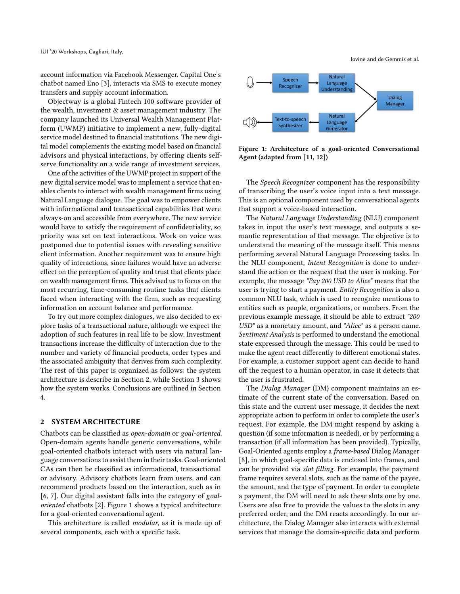account information via Facebook Messenger. Capital One's chatbot named Eno [\[3\]](#page-3-0), interacts via SMS to execute money transfers and supply account information.

Objectway is a global Fintech 100 software provider of the wealth, investment & asset management industry. The company launched its Universal Wealth Management Platform (UWMP) initiative to implement a new, fully-digital service model destined to financial institutions. The new digital model complements the existing model based on financial advisors and physical interactions, by offering clients selfserve functionality on a wide range of investment services.

One of the activities of the UWMP project in support of the new digital service model was to implement a service that enables clients to interact with wealth management firms using Natural Language dialogue. The goal was to empower clients with informational and transactional capabilities that were always-on and accessible from everywhere. The new service would have to satisfy the requirement of confidentiality, so priority was set on text interactions. Work on voice was postponed due to potential issues with revealing sensitive client information. Another requirement was to ensure high quality of interactions, since failures would have an adverse effect on the perception of quality and trust that clients place on wealth management firms. This advised us to focus on the most recurring, time-consuming routine tasks that clients faced when interacting with the firm, such as requesting information on account balance and performance.

To try out more complex dialogues, we also decided to explore tasks of a transactional nature, although we expect the adoption of such features in real life to be slow. Investment transactions increase the difficulty of interaction due to the number and variety of financial products, order types and the associated ambiguity that derives from such complexity. The rest of this paper is organized as follows: the system architecture is describe in Section [2,](#page-1-0) while Section [3](#page-2-0) shows how the system works. Conclusions are outlined in Section [4.](#page-3-1)

## <span id="page-1-0"></span>2 SYSTEM ARCHITECTURE

Chatbots can be classified as open-domain or goal-oriented. Open-domain agents handle generic conversations, while goal-oriented chatbots interact with users via natural language conversations to assist them in their tasks. Goal-oriented CAs can then be classified as informational, transactional or advisory. Advisory chatbots learn from users, and can recommend products based on the interaction, such as in [\[6,](#page-3-2) [7\]](#page-3-3). Our digital assistant falls into the category of goaloriented chatbots [\[2\]](#page-3-4). Figure [1](#page-1-1) shows a typical architecture for a goal-oriented conversational agent.

This architecture is called modular, as it is made up of several components, each with a specific task.

Iovine and de Gemmis et al.

<span id="page-1-1"></span>

Figure 1: Architecture of a goal-oriented Conversational Agent (adapted from [\[11,](#page-3-5) [12\]](#page-3-6))

The Speech Recognizer component has the responsibility of transcribing the user's voice input into a text message. This is an optional component used by conversational agents that support a voice-based interaction.

The Natural Language Understanding (NLU) component takes in input the user's text message, and outputs a semantic representation of that message. The objective is to understand the meaning of the message itself. This means performing several Natural Language Processing tasks. In the NLU component, Intent Recognition is done to understand the action or the request that the user is making. For example, the message "Pay 200 USD to Alice" means that the user is trying to start a payment. Entity Recognition is also a common NLU task, which is used to recognize mentions to entities such as people, organizations, or numbers. From the previous example message, it should be able to extract "200 USD" as a monetary amount, and "Alice" as a person name. Sentiment Analysis is performed to understand the emotional state expressed through the message. This could be used to make the agent react differently to different emotional states. For example, a customer support agent can decide to hand off the request to a human operator, in case it detects that the user is frustrated.

The Dialog Manager (DM) component maintains an estimate of the current state of the conversation. Based on this state and the current user message, it decides the next appropriate action to perform in order to complete the user's request. For example, the DM might respond by asking a question (if some information is needed), or by performing a transaction (if all information has been provided). Typically, Goal-Oriented agents employ a frame-based Dialog Manager [\[8\]](#page-3-7), in which goal-specific data is enclosed into frames, and can be provided via slot filling. For example, the payment frame requires several slots, such as the name of the payee, the amount, and the type of payment. In order to complete a payment, the DM will need to ask these slots one by one. Users are also free to provide the values to the slots in any preferred order, and the DM reacts accordingly. In our architecture, the Dialog Manager also interacts with external services that manage the domain-specific data and perform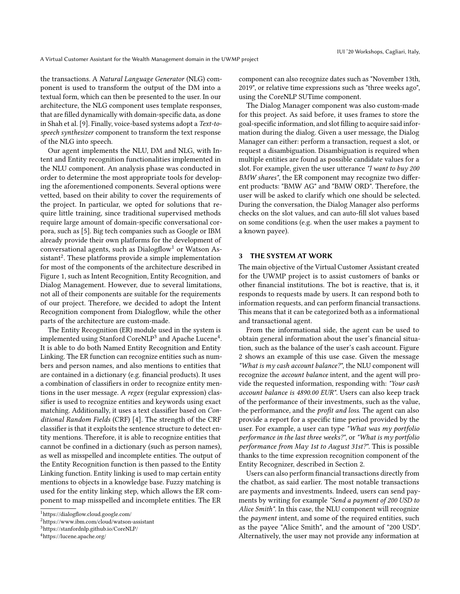the transactions. A Natural Language Generator (NLG) component is used to transform the output of the DM into a textual form, which can then be presented to the user. In our architecture, the NLG component uses template responses, that are filled dynamically with domain-specific data, as done in Shah et al. [\[9\]](#page-3-8). Finally, voice-based systems adopt a Text-tospeech synthesizer component to transform the text response of the NLG into speech.

Our agent implements the NLU, DM and NLG, with Intent and Entity recognition functionalities implemented in the NLU component. An analysis phase was conducted in order to determine the most appropriate tools for developing the aforementioned components. Several options were vetted, based on their ability to cover the requirements of the project. In particular, we opted for solutions that require little training, since traditional supervised methods require large amount of domain-specific conversational corpora, such as [\[5\]](#page-3-9). Big tech companies such as Google or IBM already provide their own platforms for the development of conversational agents, such as  $Dialogflow<sup>1</sup>$  $Dialogflow<sup>1</sup>$  $Dialogflow<sup>1</sup>$  or Watson As-sistant<sup>[2](#page-2-2)</sup>. These platforms provide a simple implementation for most of the components of the architecture described in Figure [1,](#page-1-1) such as Intent Recognition, Entity Recognition, and Dialog Management. However, due to several limitations, not all of their components are suitable for the requirements of our project. Therefore, we decided to adopt the Intent Recognition component from Dialogflow, while the other parts of the architecture are custom-made.

The Entity Recognition (ER) module used in the system is implemented using Stanford Core $NLP^3$  $NLP^3$  and Apache Lucene<sup>[4](#page-2-4)</sup>. It is able to do both Named Entity Recognition and Entity Linking. The ER function can recognize entities such as numbers and person names, and also mentions to entities that are contained in a dictionary (e.g. financial products). It uses a combination of classifiers in order to recognize entity mentions in the user message. A regex (regular expression) classifier is used to recognize entities and keywords using exact matching. Additionally, it uses a text classifier based on Conditional Random Fields (CRF) [\[4\]](#page-3-10). The strength of the CRF classifier is that it exploits the sentence structure to detect entity mentions. Therefore, it is able to recognize entities that cannot be confined in a dictionary (such as person names), as well as misspelled and incomplete entities. The output of the Entity Recognition function is then passed to the Entity Linking function. Entity linking is used to map certain entity mentions to objects in a knowledge base. Fuzzy matching is used for the entity linking step, which allows the ER component to map misspelled and incomplete entities. The ER

component can also recognize dates such as "November 13th, 2019", or relative time expressions such as "three weeks ago", using the CoreNLP SUTime component.

The Dialog Manager component was also custom-made for this project. As said before, it uses frames to store the goal-specific information, and slot filling to acquire said information during the dialog. Given a user message, the Dialog Manager can either: perform a transaction, request a slot, or request a disambiguation. Disambiguation is required when multiple entities are found as possible candidate values for a slot. For example, given the user utterance "I want to buy 200 BMW shares", the ER component may recognize two different products: "BMW AG" and "BMW ORD". Therefore, the user will be asked to clarify which one should be selected. During the conversation, the Dialog Manager also performs checks on the slot values, and can auto-fill slot values based on some conditions (e.g. when the user makes a payment to a known payee).

## <span id="page-2-0"></span>3 THE SYSTEM AT WORK

The main objective of the Virtual Customer Assistant created for the UWMP project is to assist customers of banks or other financial institutions. The bot is reactive, that is, it responds to requests made by users. It can respond both to information requests, and can perform financial transactions. This means that it can be categorized both as a informational and transactional agent.

From the informational side, the agent can be used to obtain general information about the user's financial situation, such as the balance of the user's cash account. Figure [2](#page-3-11) shows an example of this use case. Given the message "What is my cash account balance?", the NLU component will recognize the account balance intent, and the agent will provide the requested information, responding with: "Your cash account balance is 4890.00 EUR". Users can also keep track of the performance of their investments, such as the value, the performance, and the profit and loss. The agent can also provide a report for a specific time period provided by the user. For example, a user can type "What was my portfolio performance in the last three weeks?", or "What is my portfolio performance from May 1st to August 31st?". This is possible thanks to the time expression recognition component of the Entity Recognizer, described in Section [2.](#page-1-0)

Users can also perform financial transactions directly from the chatbot, as said earlier. The most notable transactions are payments and investments. Indeed, users can send payments by writing for example "Send a payment of 200 USD to Alice Smith". In this case, the NLU component will recognize the *payment* intent, and some of the required entities, such as the payee "Alice Smith", and the amount of "200 USD". Alternatively, the user may not provide any information at

<span id="page-2-1"></span><sup>1</sup>https://dialogflow.cloud.google.com/

<span id="page-2-2"></span> $^2$ https://www.ibm.com/cloud/watson-assistant

<span id="page-2-3"></span><sup>3</sup>https://stanfordnlp.github.io/CoreNLP/

<span id="page-2-4"></span><sup>4</sup>https://lucene.apache.org/